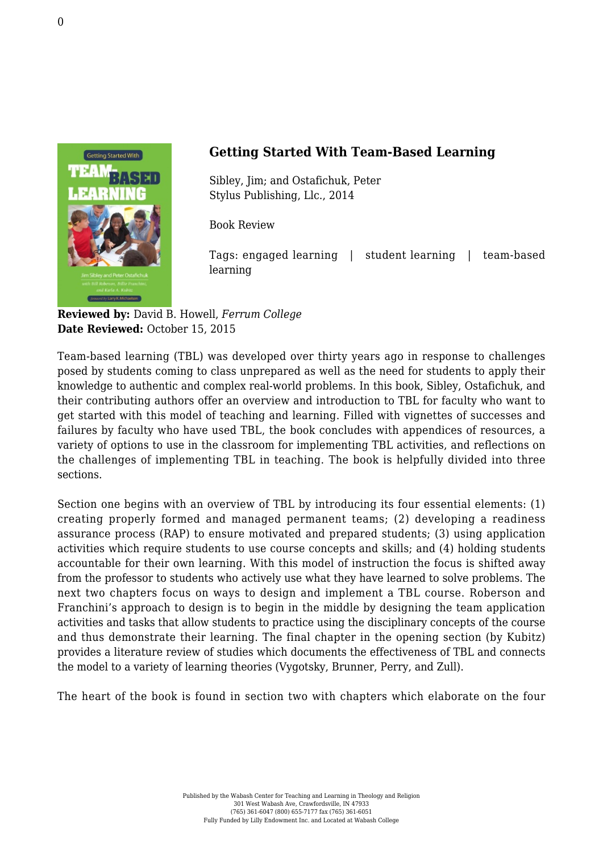

## **Getting Started With Team-Based Learning**

Sibley, Jim; and Ostafichuk, Peter [Stylus Publishing, Llc., 2014](https://sty.presswarehouse.com/Books/BookDetail.aspx?productID=394620)

Book Review

Tags: engaged learning | student learning | team-based learning

**Reviewed by:** David B. Howell, *Ferrum College* **Date Reviewed:** October 15, 2015

Team-based learning (TBL) was developed over thirty years ago in response to challenges posed by students coming to class unprepared as well as the need for students to apply their knowledge to authentic and complex real-world problems. In this book, Sibley, Ostafichuk, and their contributing authors offer an overview and introduction to TBL for faculty who want to get started with this model of teaching and learning. Filled with vignettes of successes and failures by faculty who have used TBL, the book concludes with appendices of resources, a variety of options to use in the classroom for implementing TBL activities, and reflections on the challenges of implementing TBL in teaching. The book is helpfully divided into three sections.

Section one begins with an overview of TBL by introducing its four essential elements: (1) creating properly formed and managed permanent teams; (2) developing a readiness assurance process (RAP) to ensure motivated and prepared students; (3) using application activities which require students to use course concepts and skills; and (4) holding students accountable for their own learning. With this model of instruction the focus is shifted away from the professor to students who actively use what they have learned to solve problems. The next two chapters focus on ways to design and implement a TBL course. Roberson and Franchini's approach to design is to begin in the middle by designing the team application activities and tasks that allow students to practice using the disciplinary concepts of the course and thus demonstrate their learning. The final chapter in the opening section (by Kubitz) provides a literature review of studies which documents the effectiveness of TBL and connects the model to a variety of learning theories (Vygotsky, Brunner, Perry, and Zull).

The heart of the book is found in section two with chapters which elaborate on the four